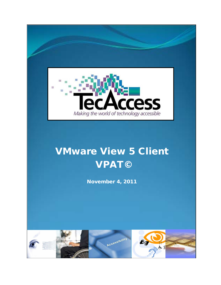

# VMware View 5 Client VPAT©

November 4, 2011

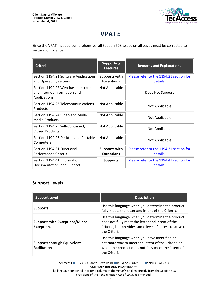

## **VPAT©**

Since the VPAT must be comprehensive, all Section 508 issues on all pages must be corrected to sustain compliance.

| <b>Criteria</b>                                                                    | <b>Supporting</b><br><b>Features</b>      | <b>Remarks and Explanations</b>                     |
|------------------------------------------------------------------------------------|-------------------------------------------|-----------------------------------------------------|
| Section 1194.21 Software Applications<br>and Operating Systems                     | <b>Supports with</b><br><b>Exceptions</b> | Please refer to the 1194.21 section for<br>details. |
| Section 1194.22 Web-based Intranet<br>and Internet Information and<br>Applications | Not Applicable                            | Does Not Support                                    |
| Section 1194.23 Telecommunications<br>Products                                     | Not Applicable                            | Not Applicable                                      |
| Section 1194.24 Video and Multi-<br>media Products                                 | Not Applicable                            | Not Applicable                                      |
| Section 1194.25 Self-Contained,<br><b>Closed Products</b>                          | Not Applicable                            | Not Applicable                                      |
| Section 1194.26 Desktop and Portable<br>Computers                                  | Not Applicable                            | Not Applicable                                      |
| Section 1194.31 Functional<br>Performance Criteria                                 | <b>Supports with</b><br><b>Exceptions</b> | Please refer to the 1194.31 section for<br>details. |
| Section 1194.41 Information,<br>Documentation, and Support                         | <b>Supports</b>                           | Please refer to the 1194.41 section for<br>details. |

#### **Support Levels**

| <b>Support Level</b>                                       | <b>Description</b>                                                                                                                                                               |
|------------------------------------------------------------|----------------------------------------------------------------------------------------------------------------------------------------------------------------------------------|
| <b>Supports</b>                                            | Use this language when you determine the product<br>fully meets the letter and intent of the Criteria.                                                                           |
| <b>Supports with Exceptions/Minor</b><br><b>Exceptions</b> | Use this language when you determine the product<br>does not fully meet the letter and intent of the<br>Criteria, but provides some level of access relative to<br>the Criteria. |
| <b>Supports through Equivalent</b><br><b>Facilitation</b>  | Use this language when you have identified an<br>alternate way to meet the intent of the Criteria or<br>when the product does not fully meet the intent of<br>the Criteria.      |

TecAccess LLC 2410 Granite Ridge Road Building A, Unit 1 Dickville, VA 23146 **CONFIDENTIAL AND PROPRIETARY** The language contained in criteria column of the VPAT© is taken directly from the Section 508

provisions of the Rehabilitation Act of 1973, as amended.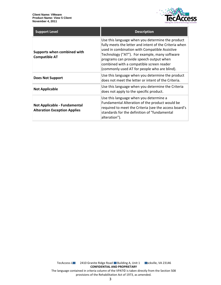

| <b>Support Level</b>                                                       | <b>Description</b>                                                                                                                                                                                                                                                                                                                                  |
|----------------------------------------------------------------------------|-----------------------------------------------------------------------------------------------------------------------------------------------------------------------------------------------------------------------------------------------------------------------------------------------------------------------------------------------------|
| Supports when combined with<br><b>Compatible AT</b>                        | Use this language when you determine the product<br>fully meets the letter and intent of the Criteria when<br>used in combination with Compatible Assistive<br>Technology ("AT"). For example, many software<br>programs can provide speech output when<br>combined with a compatible screen reader<br>(commonly used AT for people who are blind). |
| Does Not Support                                                           | Use this language when you determine the product<br>does not meet the letter or intent of the Criteria.                                                                                                                                                                                                                                             |
| <b>Not Applicable</b>                                                      | Use this language when you determine the Criteria<br>does not apply to the specific product.                                                                                                                                                                                                                                                        |
| <b>Not Applicable - Fundamental</b><br><b>Alteration Exception Applies</b> | Use this language when you determine a<br>Fundamental Alteration of the product would be<br>required to meet the Criteria (see the access board's<br>standards for the definition of "fundamental<br>alteration").                                                                                                                                  |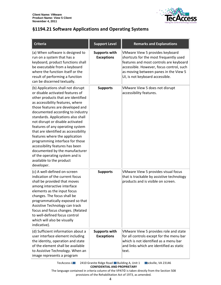

### <span id="page-3-0"></span>**§1194.21 Software Applications and Operating Systems**

| <b>Criteria</b>                                                                                                                                                                                                                                                                                                                                                                                                                                                                                                                                                                                      | <b>Support Level</b>                      | <b>Remarks and Explanations</b>                                                                                                                                                                                                              |
|------------------------------------------------------------------------------------------------------------------------------------------------------------------------------------------------------------------------------------------------------------------------------------------------------------------------------------------------------------------------------------------------------------------------------------------------------------------------------------------------------------------------------------------------------------------------------------------------------|-------------------------------------------|----------------------------------------------------------------------------------------------------------------------------------------------------------------------------------------------------------------------------------------------|
| (a) When software is designed to<br>run on a system that has a<br>keyboard, product functions shall<br>be executable from a keyboard<br>where the function itself or the<br>result of performing a function<br>can be discerned textually.                                                                                                                                                                                                                                                                                                                                                           | <b>Supports with</b><br><b>Exceptions</b> | VMware View 5 provides keyboard<br>shortcuts for the most frequently used<br>features and most controls are keyboard<br>accessible. However, focus control, such<br>as moving between panes in the View 5<br>UI, is not keyboard accessible. |
| (b) Applications shall not disrupt<br>or disable activated features of<br>other products that are identified<br>as accessibility features, where<br>those features are developed and<br>documented according to industry<br>standards. Applications also shall<br>not disrupt or disable activated<br>features of any operating system<br>that are identified as accessibility<br>features where the application<br>programming interface for those<br>accessibility features has been<br>documented by the manufacturer<br>of the operating system and is<br>available to the product<br>developer. | <b>Supports</b>                           | VMware View 5 does not disrupt<br>accessibility features.                                                                                                                                                                                    |
| (c) A well-defined on-screen<br>indication of the current focus<br>shall be provided that moves<br>among interactive interface<br>elements as the input focus<br>changes. The focus shall be<br>programmatically exposed so that<br>Assistive Technology can track<br>focus and focus changes. (Related<br>to well-defined focus control<br>which will also be visually<br>indicative).                                                                                                                                                                                                              | <b>Supports</b>                           | VMware View 5 provides visual focus<br>that is trackable by assistive technology<br>products and is visible on screen.                                                                                                                       |
| (d) Sufficient information about a<br>user interface element including<br>the identity, operation and state<br>of the element shall be available<br>to Assistive Technology. When an<br>image represents a program                                                                                                                                                                                                                                                                                                                                                                                   | <b>Supports with</b><br><b>Exceptions</b> | VMware View 5 provides role and state<br>for all controls except for the menu bar<br>which is not identified as a menu bar<br>and links which are identified as static<br>text.                                                              |

TecAccess LLC 2410 Granite Ridge Road Building A, Unit 1 Cockville, VA 23146 **CONFIDENTIAL AND PROPRIETARY**

The language contained in criteria column of the VPAT© is taken directly from the Section 508 provisions of the Rehabilitation Act of 1973, as amended.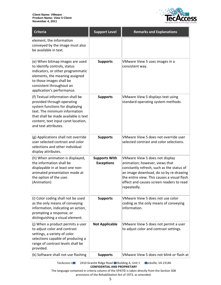

| <b>Criteria</b>                                                                                                                                                                                                                           | <b>Support Level</b>                      | <b>Remarks and Explanations</b>                                                                                                                                                                                                                                   |
|-------------------------------------------------------------------------------------------------------------------------------------------------------------------------------------------------------------------------------------------|-------------------------------------------|-------------------------------------------------------------------------------------------------------------------------------------------------------------------------------------------------------------------------------------------------------------------|
| element, the information<br>conveyed by the image must also<br>be available in text.                                                                                                                                                      |                                           |                                                                                                                                                                                                                                                                   |
| (e) When bitmap images are used<br>to identify controls, status<br>indicators, or other programmatic<br>elements, the meaning assigned<br>to those images shall be<br>consistent throughout an<br>application's performance.              | <b>Supports</b>                           | VMware View 5 uses images in a<br>consistent way.                                                                                                                                                                                                                 |
| (f) Textual information shall be<br>provided through operating<br>system functions for displaying<br>text. The minimum information<br>that shall be made available is text<br>content, text input caret location,<br>and text attributes. | <b>Supports</b>                           | VMware View 5 displays text using<br>standard operating system methods.                                                                                                                                                                                           |
| (g) Applications shall not override<br>user selected contrast and color<br>selections and other individual<br>display attributes.                                                                                                         | <b>Supports</b>                           | VMware View 5 does not override user<br>selected contrast and color selections.                                                                                                                                                                                   |
| (h) When animation is displayed,<br>the information shall be<br>displayable in at least one non-<br>animated presentation mode at<br>the option of the user.<br>(Animation)                                                               | <b>Supports With</b><br><b>Exceptions</b> | VMware View 5 does not display<br>animation; however, views that<br>constantly refresh, such as the status of<br>an image download, do so by re-drawing<br>the entire view. This causes a visual flash<br>effect and causes screen readers to read<br>repeatedly. |
| (i) Color coding shall not be used<br>as the only means of conveying<br>information, indicating an action,<br>prompting a response, or<br>distinguishing a visual element.                                                                | <b>Supports</b>                           | VMware View 5 does not use color<br>coding as the only means of conveying<br>information.                                                                                                                                                                         |
| (j) When a product permits a user<br>to adjust color and contrast<br>settings, a variety of color<br>selections capable of producing a<br>range of contrast levels shall be<br>provided.                                                  | <b>Not Applicable</b>                     | VMware View 5 does not permit a user<br>to adjust color and contrast settings.                                                                                                                                                                                    |
| (k) Software shall not use flashing                                                                                                                                                                                                       | <b>Supports</b>                           | VMware View 5 does not blink or flash at                                                                                                                                                                                                                          |

TecAccess L**LC** 2410 Granite Ridge Road Building A, Unit 1 **Rockville, VA 23146 CONFIDENTIAL AND PROPRIETARY**

The language contained in criteria column of the VPAT© is taken directly from the Section 508 provisions of the Rehabilitation Act of 1973, as amended.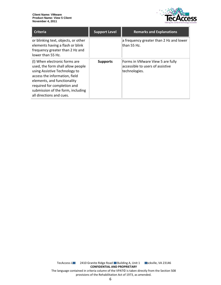

| <b>Criteria</b>                                                                                                                                                                                                                                                     | <b>Support Level</b> | <b>Remarks and Explanations</b>                                                       |
|---------------------------------------------------------------------------------------------------------------------------------------------------------------------------------------------------------------------------------------------------------------------|----------------------|---------------------------------------------------------------------------------------|
| or blinking text, objects, or other<br>elements having a flash or blink<br>frequency greater than 2 Hz and<br>lower than 55 Hz.                                                                                                                                     |                      | a frequency greater than 2 Hz and lower<br>than 55 Hz.                                |
| (I) When electronic forms are<br>used, the form shall allow people<br>using Assistive Technology to<br>access the information, field<br>elements, and functionality<br>required for completion and<br>submission of the form, including<br>all directions and cues. | <b>Supports</b>      | Forms in VMware View 5 are fully<br>accessible to users of assistive<br>technologies. |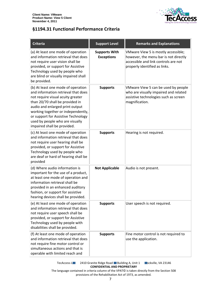

### <span id="page-6-0"></span>**§1194.31 Functional Performance Criteria**

| <b>Criteria</b>                                                                                                                                                                                                                                                                                                                     | <b>Support Level</b>                      | <b>Remarks and Explanations</b>                                                                                                                       |
|-------------------------------------------------------------------------------------------------------------------------------------------------------------------------------------------------------------------------------------------------------------------------------------------------------------------------------------|-------------------------------------------|-------------------------------------------------------------------------------------------------------------------------------------------------------|
| (a) At least one mode of operation<br>and information retrieval that does<br>not require user vision shall be<br>provided, or support for Assistive<br>Technology used by people who<br>are blind or visually impaired shall<br>be provided.                                                                                        | <b>Supports With</b><br><b>Exceptions</b> | VMware View 5 is mostly accessible;<br>however, the menu bar is not directly<br>accessible and link controls are not<br>properly identified as links. |
| (b) At least one mode of operation<br>and information retrieval that does<br>not require visual acuity greater<br>than 20/70 shall be provided in<br>audio and enlarged print output<br>working together or independently,<br>or support for Assistive Technology<br>used by people who are visually<br>impaired shall be provided. | <b>Supports</b>                           | VMware View 5 can be used by people<br>who are visually impaired and related<br>assistive technologies such as screen<br>magnification.               |
| (c) At least one mode of operation<br>and information retrieval that does<br>not require user hearing shall be<br>provided, or support for Assistive<br>Technology used by people who<br>are deaf or hard of hearing shall be<br>provided                                                                                           | <b>Supports</b>                           | Hearing is not required.                                                                                                                              |
| (d) Where audio information is<br>important for the use of a product,<br>at least one mode of operation and<br>information retrieval shall be<br>provided in an enhanced auditory<br>fashion, or support for assistive<br>hearing devices shall be provided.                                                                        | <b>Not Applicable</b>                     | Audio is not present.                                                                                                                                 |
| (e) At least one mode of operation<br>and information retrieval that does<br>not require user speech shall be<br>provided, or support for Assistive<br>Technology used by people with<br>disabilities shall be provided.                                                                                                            | <b>Supports</b>                           | User speech is not required.                                                                                                                          |
| (f) At least one mode of operation<br>and information retrieval that does<br>not require fine motor control or<br>simultaneous actions and that is<br>operable with limited reach and                                                                                                                                               | <b>Supports</b>                           | Fine motor control is not required to<br>use the application.                                                                                         |

TecAccess L**LC** 2410 Granite Ridge Road Building A, Unit 1 **Rockville, VA 23146 CONFIDENTIAL AND PROPRIETARY** The language contained in criteria column of the VPAT© is taken directly from the Section 508

provisions of the Rehabilitation Act of 1973, as amended.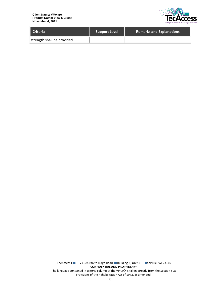

| Criteria                    | <b>Support Level</b> | <b>Remarks and Explanations</b> |
|-----------------------------|----------------------|---------------------------------|
| strength shall be provided. |                      |                                 |